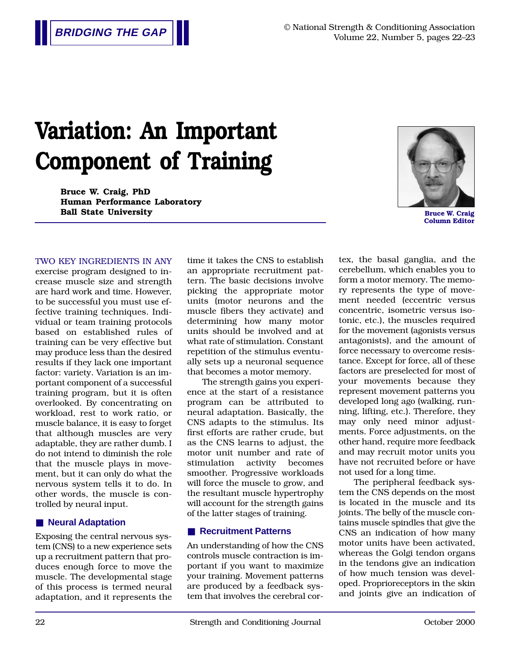# **Variation: An Important Component of Training**

**Bruce W. Craig, PhD Human Performance Laboratory Ball State University Bruce W. Craig** 



**Column Editor**

#### TWO KEY INGREDIENTS IN ANY

exercise program designed to increase muscle size and strength are hard work and time. However, to be successful you must use effective training techniques. Individual or team training protocols based on established rules of training can be very effective but may produce less than the desired results if they lack one important factor: variety. Variation is an important component of a successful training program, but it is often overlooked. By concentrating on workload, rest to work ratio, or muscle balance, it is easy to forget that although muscles are very adaptable, they are rather dumb. I do not intend to diminish the role that the muscle plays in movement, but it can only do what the nervous system tells it to do. In other words, the muscle is controlled by neural input.

#### ■ **Neural Adaptation**

Exposing the central nervous system (CNS) to a new experience sets up a recruitment pattern that produces enough force to move the muscle. The developmental stage of this process is termed neural adaptation, and it represents the time it takes the CNS to establish an appropriate recruitment pattern. The basic decisions involve picking the appropriate motor units (motor neurons and the muscle fibers they activate) and determining how many motor units should be involved and at what rate of stimulation. Constant repetition of the stimulus eventually sets up a neuronal sequence that becomes a motor memory.

The strength gains you experience at the start of a resistance program can be attributed to neural adaptation. Basically, the CNS adapts to the stimulus. Its first efforts are rather crude, but as the CNS learns to adjust, the motor unit number and rate of stimulation activity becomes smoother. Progressive workloads will force the muscle to grow, and the resultant muscle hypertrophy will account for the strength gains of the latter stages of training.

#### ■ **Recruitment Patterns**

An understanding of how the CNS controls muscle contraction is important if you want to maximize your training. Movement patterns are produced by a feedback system that involves the cerebral cortex, the basal ganglia, and the cerebellum, which enables you to form a motor memory. The memory represents the type of movement needed (eccentric versus concentric, isometric versus isotonic, etc.), the muscles required for the movement (agonists versus antagonists), and the amount of force necessary to overcome resistance. Except for force, all of these factors are preselected for most of your movements because they represent movement patterns you developed long ago (walking, running, lifting, etc.). Therefore, they may only need minor adjustments. Force adjustments, on the other hand, require more feedback and may recruit motor units you have not recruited before or have not used for a long time.

The peripheral feedback system the CNS depends on the most is located in the muscle and its joints. The belly of the muscle contains muscle spindles that give the CNS an indication of how many motor units have been activated, whereas the Golgi tendon organs in the tendons give an indication of how much tension was developed. Proprioreceptors in the skin and joints give an indication of